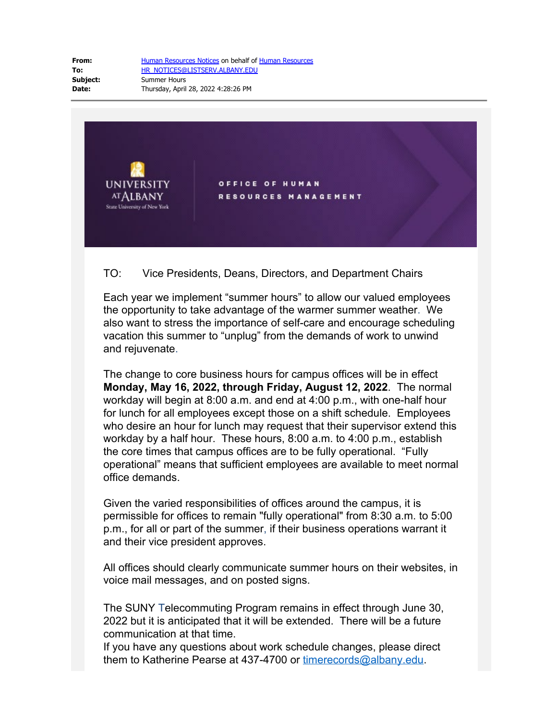**From:** [Human Resources Notices](mailto:HR_NOTICES@LISTSERV.ALBANY.EDU) on behalf of [Human Resources](mailto:OHRM@albany.edu) **To:** [HR\\_NOTICES@LISTSERV.ALBANY.EDU](mailto:HR_NOTICES@LISTSERV.ALBANY.EDU) **Subject:** Summer Hours **Date:** Thursday, April 28, 2022 4:28:26 PM



## TO: Vice Presidents, Deans, Directors, and Department Chairs

Each year we implement "summer hours" to allow our valued employees the opportunity to take advantage of the warmer summer weather. We also want to stress the importance of self-care and encourage scheduling vacation this summer to "unplug" from the demands of work to unwind and rejuvenate.

The change to core business hours for campus offices will be in effect **Monday, May 16, 2022, through Friday, August 12, 2022**. The normal workday will begin at 8:00 a.m. and end at 4:00 p.m., with one-half hour for lunch for all employees except those on a shift schedule. Employees who desire an hour for lunch may request that their supervisor extend this workday by a half hour. These hours, 8:00 a.m. to 4:00 p.m., establish the core times that campus offices are to be fully operational. "Fully operational" means that sufficient employees are available to meet normal office demands.

Given the varied responsibilities of offices around the campus, it is permissible for offices to remain "fully operational" from 8:30 a.m. to 5:00 p.m., for all or part of the summer, if their business operations warrant it and their vice president approves.

All offices should clearly communicate summer hours on their websites, in voice mail messages, and on posted signs.

The SUNY Telecommuting Program remains in effect through June 30, 2022 but it is anticipated that it will be extended. There will be a future communication at that time.

If you have any questions about work schedule changes, please direct them to Katherine Pearse at 437-4700 or [timerecords@albany.edu.](mailto:kpearse@albany.edu)